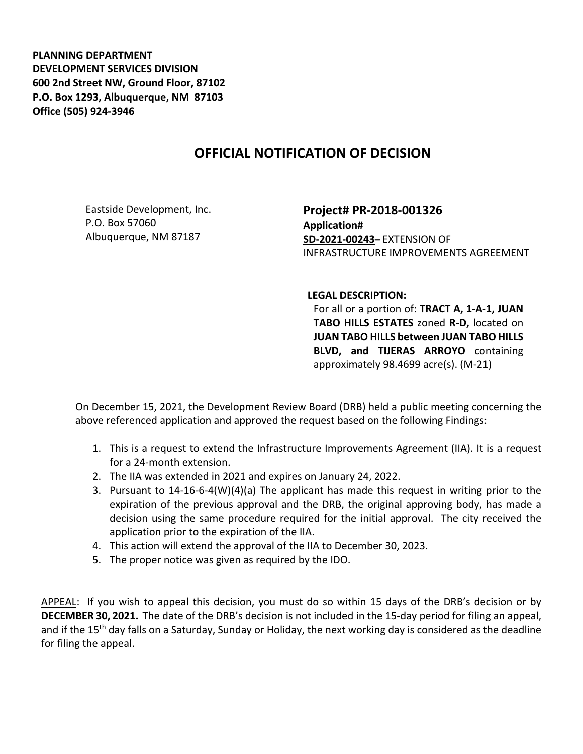**PLANNING DEPARTMENT DEVELOPMENT SERVICES DIVISION 600 2nd Street NW, Ground Floor, 87102 P.O. Box 1293, Albuquerque, NM 87103 Office (505) 924-3946** 

## **OFFICIAL NOTIFICATION OF DECISION**

Eastside Development, Inc. P.O. Box 57060 Albuquerque, NM 87187

**Project# PR-2018-001326 Application# SD-2021-00243–** EXTENSION OF INFRASTRUCTURE IMPROVEMENTS AGREEMENT

## **LEGAL DESCRIPTION:**

For all or a portion of: **TRACT A, 1-A-1, JUAN TABO HILLS ESTATES** zoned **R-D,** located on **JUAN TABO HILLS between JUAN TABO HILLS BLVD, and TIJERAS ARROYO** containing approximately 98.4699 acre(s). (M-21)

On December 15, 2021, the Development Review Board (DRB) held a public meeting concerning the above referenced application and approved the request based on the following Findings:

- 1. This is a request to extend the Infrastructure Improvements Agreement (IIA). It is a request for a 24-month extension.
- 2. The IIA was extended in 2021 and expires on January 24, 2022.
- 3. Pursuant to 14-16-6-4(W)(4)(a) The applicant has made this request in writing prior to the expiration of the previous approval and the DRB, the original approving body, has made a decision using the same procedure required for the initial approval. The city received the application prior to the expiration of the IIA.
- 4. This action will extend the approval of the IIA to December 30, 2023.
- 5. The proper notice was given as required by the IDO.

APPEAL: If you wish to appeal this decision, you must do so within 15 days of the DRB's decision or by **DECEMBER 30, 2021.** The date of the DRB's decision is not included in the 15-day period for filing an appeal, and if the 15<sup>th</sup> day falls on a Saturday, Sunday or Holiday, the next working day is considered as the deadline for filing the appeal.